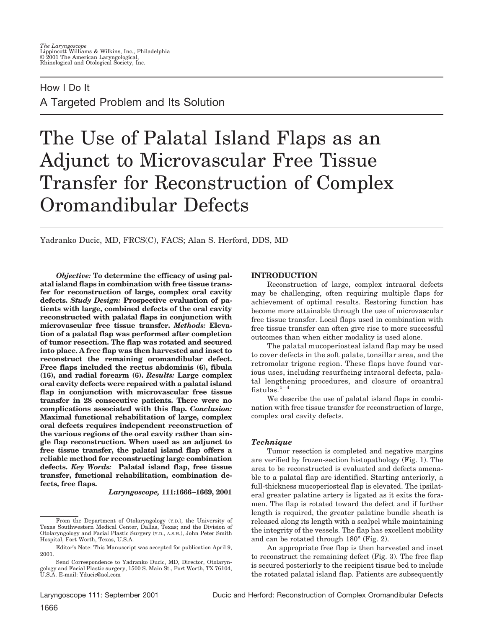# How I Do It A Targeted Problem and Its Solution

# The Use of Palatal Island Flaps as an Adjunct to Microvascular Free Tissue Transfer for Reconstruction of Complex Oromandibular Defects

Yadranko Ducic, MD, FRCS(C), FACS; Alan S. Herford, DDS, MD

*Objective:* **To determine the efficacy of using palatal island flaps in combination with free tissue transfer for reconstruction of large, complex oral cavity defects.** *Study Design:* **Prospective evaluation of patients with large, combined defects of the oral cavity reconstructed with palatal flaps in conjunction with microvascular free tissue transfer.** *Methods:* **Elevation of a palatal flap was performed after completion of tumor resection. The flap was rotated and secured into place. A free flap was then harvested and inset to reconstruct the remaining oromandibular defect. Free flaps included the rectus abdominis (6), fibula (16), and radial forearm (6).** *Results:* **Large complex oral cavity defects were repaired with a palatal island flap in conjunction with microvascular free tissue transfer in 28 consecutive patients. There were no complications associated with this flap.** *Conclusion:* **Maximal functional rehabilitation of large, complex oral defects requires independent reconstruction of the various regions of the oral cavity rather than single flap reconstruction. When used as an adjunct to free tissue transfer, the palatal island flap offers a reliable method for reconstructing large combination defects.** *Key Words:* **Palatal island flap, free tissue transfer, functional rehabilitation, combination defects, free flaps.**

*Laryngoscope,* **111:1666–1669, 2001**

# **INTRODUCTION**

Reconstruction of large, complex intraoral defects may be challenging, often requiring multiple flaps for achievement of optimal results. Restoring function has become more attainable through the use of microvascular free tissue transfer. Local flaps used in combination with free tissue transfer can often give rise to more successful outcomes than when either modality is used alone.

The palatal mucoperiosteal island flap may be used to cover defects in the soft palate, tonsillar area, and the retromolar trigone region. These flaps have found various uses, including resurfacing intraoral defects, palatal lengthening procedures, and closure of oroantral fistulas. $1-4$ 

We describe the use of palatal island flaps in combination with free tissue transfer for reconstruction of large, complex oral cavity defects.

#### *Technique*

Tumor resection is completed and negative margins are verified by frozen-section histopathology (Fig. 1). The area to be reconstructed is evaluated and defects amenable to a palatal flap are identified. Starting anteriorly, a full-thickness mucoperiosteal flap is elevated. The ipsilateral greater palatine artery is ligated as it exits the foramen. The flap is rotated toward the defect and if further length is required, the greater palatine bundle sheath is released along its length with a scalpel while maintaining the integrity of the vessels. The flap has excellent mobility and can be rotated through 180° (Fig. 2).

An appropriate free flap is then harvested and inset to reconstruct the remaining defect (Fig. 3). The free flap is secured posteriorly to the recipient tissue bed to include the rotated palatal island flap. Patients are subsequently

From the Department of Otolaryngology (Y.D.), the University of Texas Southwestern Medical Center, Dallas, Texas; and the Division of Otolaryngology and Facial Plastic Surgery (Y.D., A.S.H.), John Peter Smith Hospital, Fort Worth, Texas, U.S.A.

Editor's Note: This Manuscript was accepted for publication April 9, 2001.

Send Correspondence to Yadranko Ducic, MD, Director, Otolaryngology and Facial Plastic surgery, 1500 S. Main St., Fort Worth, TX 76104, U.S.A. E-mail: Yducic@aol.com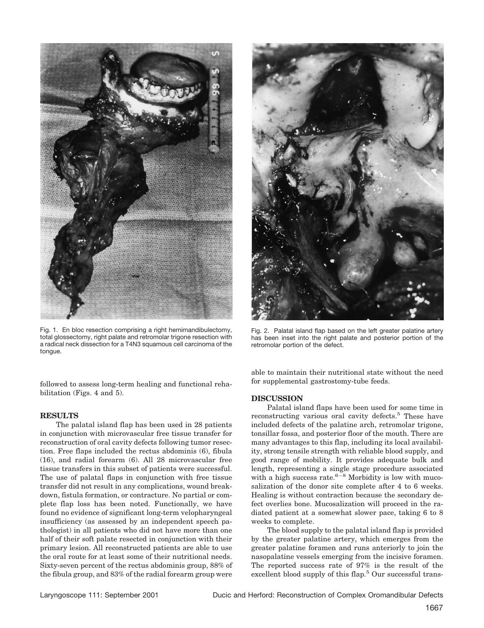

Fig. 1. En bloc resection comprising a right hemimandibulectomy, total glossectomy, right palate and retromolar trigone resection with a radical neck dissection for a T4N3 squamous cell carcinoma of the tongue.

followed to assess long-term healing and functional rehabilitation (Figs. 4 and 5).

#### **RESULTS**

The palatal island flap has been used in 28 patients in conjunction with microvascular free tissue transfer for reconstruction of oral cavity defects following tumor resection. Free flaps included the rectus abdominis (6), fibula (16), and radial forearm (6). All 28 microvascular free tissue transfers in this subset of patients were successful. The use of palatal flaps in conjunction with free tissue transfer did not result in any complications, wound breakdown, fistula formation, or contracture. No partial or complete flap loss has been noted. Functionally, we have found no evidence of significant long-term velopharyngeal insufficiency (as assessed by an independent speech pathologist) in all patients who did not have more than one half of their soft palate resected in conjunction with their primary lesion. All reconstructed patients are able to use the oral route for at least some of their nutritional needs. Sixty-seven percent of the rectus abdominis group, 88% of the fibula group, and 83% of the radial forearm group were



Fig. 2. Palatal island flap based on the left greater palatine artery has been inset into the right palate and posterior portion of the retromolar portion of the defect.

able to maintain their nutritional state without the need for supplemental gastrostomy-tube feeds.

#### **DISCUSSION**

Palatal island flaps have been used for some time in reconstructing various oral cavity defects.<sup>5</sup> These have included defects of the palatine arch, retromolar trigone, tonsillar fossa, and posterior floor of the mouth. There are many advantages to this flap, including its local availability, strong tensile strength with reliable blood supply, and good range of mobility. It provides adequate bulk and length, representing a single stage procedure associated with a high success rate. $6-8$  Morbidity is low with mucosalization of the donor site complete after 4 to 6 weeks. Healing is without contraction because the secondary defect overlies bone. Mucosalization will proceed in the radiated patient at a somewhat slower pace, taking 6 to 8 weeks to complete.

The blood supply to the palatal island flap is provided by the greater palatine artery, which emerges from the greater palatine foramen and runs anteriorly to join the nasopalatine vessels emerging from the incisive foramen. The reported success rate of 97% is the result of the excellent blood supply of this flap.<sup>5</sup> Our successful trans-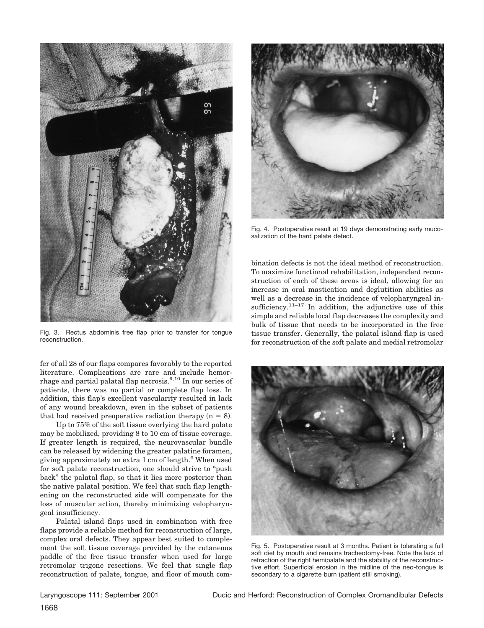

Fig. 3. Rectus abdominis free flap prior to transfer for tongue reconstruction.

fer of all 28 of our flaps compares favorably to the reported literature. Complications are rare and include hemorrhage and partial palatal flap necrosis.9,10 In our series of patients, there was no partial or complete flap loss. In addition, this flap's excellent vascularity resulted in lack of any wound breakdown, even in the subset of patients that had received preoperative radiation therapy  $(n = 8)$ .

Up to 75% of the soft tissue overlying the hard palate may be mobilized, providing 8 to 10 cm of tissue coverage. If greater length is required, the neurovascular bundle can be released by widening the greater palatine foramen, giving approximately an extra 1 cm of length.6 When used for soft palate reconstruction, one should strive to "push back" the palatal flap, so that it lies more posterior than the native palatal position. We feel that such flap lengthening on the reconstructed side will compensate for the loss of muscular action, thereby minimizing velopharyngeal insufficiency.

Palatal island flaps used in combination with free flaps provide a reliable method for reconstruction of large, complex oral defects. They appear best suited to complement the soft tissue coverage provided by the cutaneous paddle of the free tissue transfer when used for large retromolar trigone resections. We feel that single flap reconstruction of palate, tongue, and floor of mouth com-



Fig. 4. Postoperative result at 19 days demonstrating early mucosalization of the hard palate defect.

bination defects is not the ideal method of reconstruction. To maximize functional rehabilitation, independent reconstruction of each of these areas is ideal, allowing for an increase in oral mastication and deglutition abilities as well as a decrease in the incidence of velopharyngeal insufficiency. $11-17$  In addition, the adjunctive use of this simple and reliable local flap decreases the complexity and bulk of tissue that needs to be incorporated in the free tissue transfer. Generally, the palatal island flap is used for reconstruction of the soft palate and medial retromolar



Fig. 5. Postoperative result at 3 months. Patient is tolerating a full soft diet by mouth and remains tracheotomy-free. Note the lack of retraction of the right hemipalate and the stability of the reconstructive effort. Superficial erosion in the midline of the neo-tongue is secondary to a cigarette burn (patient still smoking).